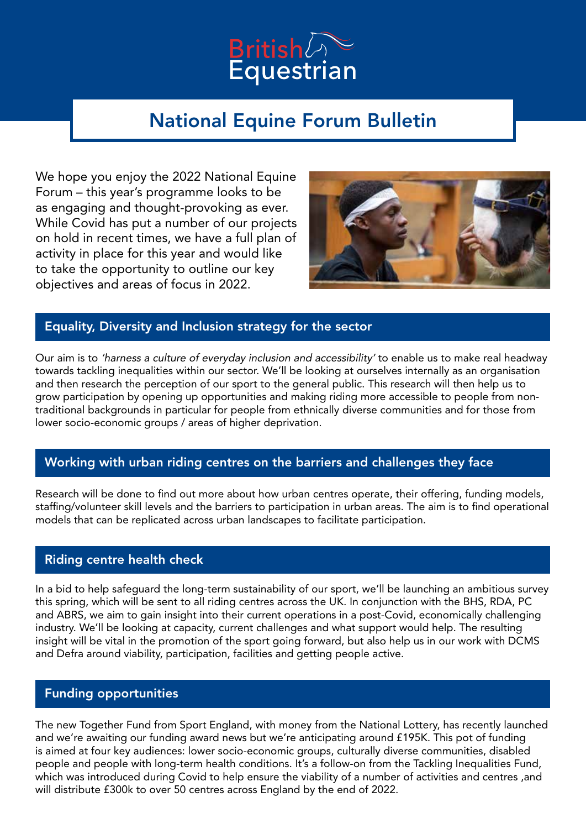

# National Equine Forum Bulletin

We hope you enjoy the 2022 National Equine Forum – this year's programme looks to be as engaging and thought-provoking as ever. While Covid has put a number of our projects on hold in recent times, we have a full plan of activity in place for this year and would like to take the opportunity to outline our key objectives and areas of focus in 2022.



# Equality, Diversity and Inclusion strategy for the sector

Our aim is to 'harness a culture of everyday inclusion and accessibility' to enable us to make real headway towards tackling inequalities within our sector. We'll be looking at ourselves internally as an organisation and then research the perception of our sport to the general public. This research will then help us to grow participation by opening up opportunities and making riding more accessible to people from nontraditional backgrounds in particular for people from ethnically diverse communities and for those from lower socio-economic groups / areas of higher deprivation.

# Working with urban riding centres on the barriers and challenges they face

Research will be done to find out more about how urban centres operate, their offering, funding models, staffing/volunteer skill levels and the barriers to participation in urban areas. The aim is to find operational models that can be replicated across urban landscapes to facilitate participation.

# Riding centre health check

In a bid to help safeguard the long-term sustainability of our sport, we'll be launching an ambitious survey this spring, which will be sent to all riding centres across the UK. In conjunction with the BHS, RDA, PC and ABRS, we aim to gain insight into their current operations in a post-Covid, economically challenging industry. We'll be looking at capacity, current challenges and what support would help. The resulting insight will be vital in the promotion of the sport going forward, but also help us in our work with DCMS and Defra around viability, participation, facilities and getting people active.

# Funding opportunities

The new Together Fund from Sport England, with money from the National Lottery, has recently launched and we're awaiting our funding award news but we're anticipating around £195K. This pot of funding is aimed at four key audiences: lower socio-economic groups, culturally diverse communities, disabled people and people with long-term health conditions. It's a follow-on from the Tackling Inequalities Fund, which was introduced during Covid to help ensure the viability of a number of activities and centres ,and will distribute £300k to over 50 centres across England by the end of 2022.